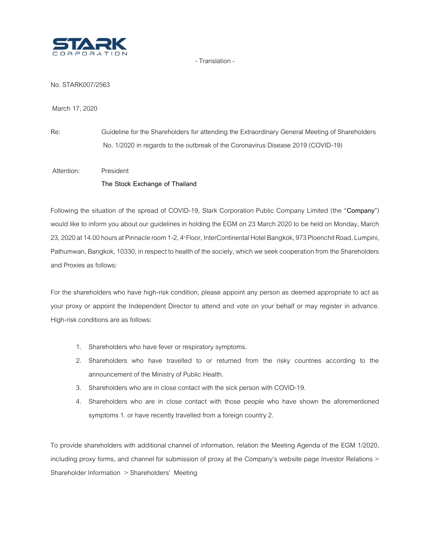

- Translation -

No. STARK007/2563

March 17, 2020

Re: Guideline for the Shareholders for attending the Extraordinary General Meeting of Shareholders No. 1/2020 in regards to the outbreak of the Coronavirus Disease 2019 (COVID-19)

Attention: President **The Stock Exchange of Thailand**

Following the situation of the spread of COVID-19, Stark Corporation Public Company Limited (the "**Company**") would like to inform you about our guidelines in holding the EGM on 23 March 2020 to be held on Monday, March 23, 2020 at 14.00 hours at Pinnacle room 1-2, 4<sup>\*</sup> Floor, InterContinental Hotel Bangkok, 973 Ploenchit Road, Lumpini, Pathumwan, Bangkok, 10330, in respect to health of the society, which we seek cooperation from the Shareholders and Proxies as follows:

For the shareholders who have high-risk condition, please appoint any person as deemed appropriate to act as your proxy or appoint the Independent Director to attend and vote on your behalf or may register in advance. High-risk conditions are as follows:

- 1. Shareholders who have fever or respiratory symptoms.
- 2. Shareholders who have travelled to or returned from the risky countries according to the announcement of the Ministry of Public Health.
- 3. Shareholders who are in close contact with the sick person with COVID-19.
- 4. Shareholders who are in close contact with those people who have shown the aforementioned symptoms 1. or have recently travelled from a foreign country 2.

To provide shareholders with additional channel of information, relation the Meeting Agenda of the EGM 1/2020, including proxy forms, and channel for submission of proxy at the Company's website page Investor Relations > Shareholder Information > Shareholders' Meeting